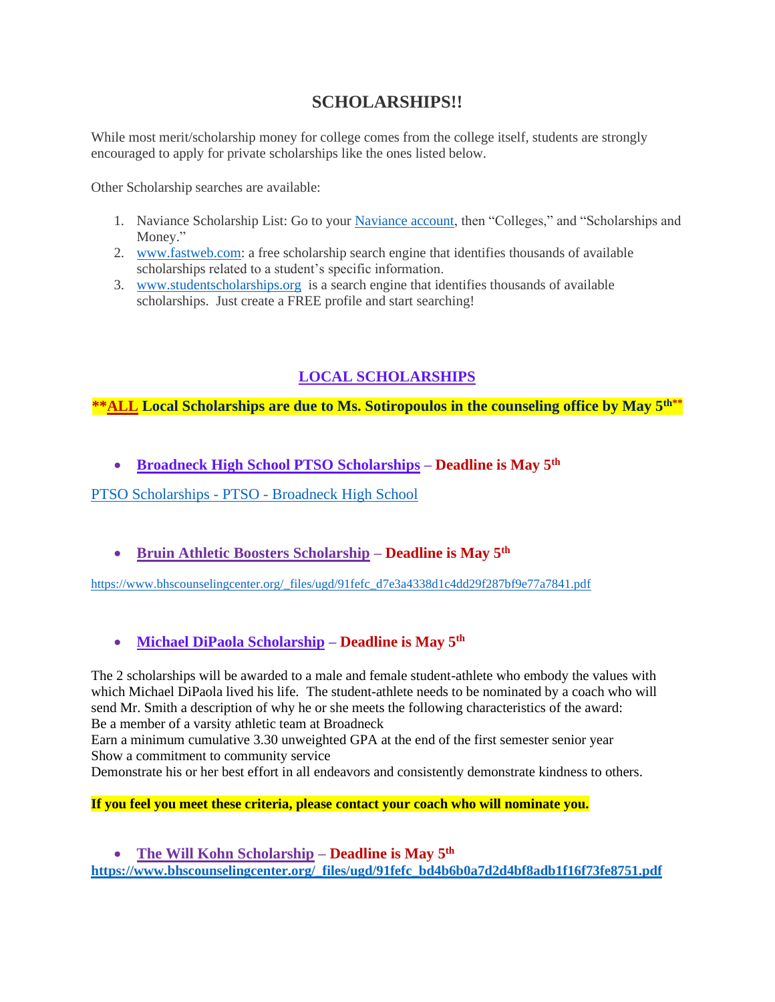# **SCHOLARSHIPS!!**

While most merit/scholarship money for college comes from the college itself, students are strongly encouraged to apply for private scholarships like the ones listed below.

Other Scholarship searches are available:

- 1. Naviance Scholarship List: Go to your [Naviance account,](https://nam12.safelinks.protection.outlook.com/?url=https%3A%2F%2Fstudent.naviance.com%2Fbroadneck&data=04%7C01%7Csalawrence%40aacps.org%7C7a44728cd4ea4a8e6f1908d8e5b056aa%7Cb7d27e93356b4ad88a7089c35df207c0%7C0%7C0%7C637511892849863481%7CUnknown%7CTWFpbGZsb3d8eyJWIjoiMC4wLjAwMDAiLCJQIjoiV2luMzIiLCJBTiI6Ik1haWwiLCJXVCI6Mn0%3D%7C1000&sdata=A2fOEftRMn%2Fom7d2IzwNkJbWF9bvVrvHh%2FWs%2BEZ3m6A%3D&reserved=0) then "Colleges," and "Scholarships and Money."
- 2. [www.fastweb.com:](https://nam12.safelinks.protection.outlook.com/?url=http%3A%2F%2Fwww.fastweb.com%2F&data=04%7C01%7Csalawrence%40aacps.org%7C7a44728cd4ea4a8e6f1908d8e5b056aa%7Cb7d27e93356b4ad88a7089c35df207c0%7C0%7C0%7C637511892849863481%7CUnknown%7CTWFpbGZsb3d8eyJWIjoiMC4wLjAwMDAiLCJQIjoiV2luMzIiLCJBTiI6Ik1haWwiLCJXVCI6Mn0%3D%7C1000&sdata=%2FSbL0Mj3e43%2F4%2FvrUgEyu4LA5KpqCJF6g%2Bd7%2FUn6LAE%3D&reserved=0) a free scholarship search engine that identifies thousands of available scholarships related to a student's specific information.
- 3. [www.studentscholarships.org](https://nam12.safelinks.protection.outlook.com/?url=http%3A%2F%2Fwww.studentscholarships.org%2F&data=04%7C01%7Csalawrence%40aacps.org%7C7a44728cd4ea4a8e6f1908d8e5b056aa%7Cb7d27e93356b4ad88a7089c35df207c0%7C0%7C0%7C637511892849873472%7CUnknown%7CTWFpbGZsb3d8eyJWIjoiMC4wLjAwMDAiLCJQIjoiV2luMzIiLCJBTiI6Ik1haWwiLCJXVCI6Mn0%3D%7C1000&sdata=z8YaN5SSDvYxd4qwkcrSC0cDF43f%2BN%2Bgb9k5ZeDuzCA%3D&reserved=0) is a search engine that identifies thousands of available scholarships. Just create a FREE profile and start searching!

# **LOCAL SCHOLARSHIPS**

## **\*\*ALL Local Scholarships are due to Ms. Sotiropoulos in the counseling office by May 5th\*\***

• **Broadneck High School PTSO Scholarships – Deadline is May 5th**

PTSO Scholarships - PTSO - [Broadneck High School](https://www.broadneck.org/scholarship)

• **Bruin Athletic Boosters Scholarship – Deadline is May 5 th**

[https://www.bhscounselingcenter.org/\\_files/ugd/91fefc\\_d7e3a4338d1c4dd29f287bf9e77a7841.pdf](https://www.bhscounselingcenter.org/_files/ugd/91fefc_d7e3a4338d1c4dd29f287bf9e77a7841.pdf)

## • **Michael DiPaola Scholarship – Deadline is May 5th**

The 2 scholarships will be awarded to a male and female student-athlete who embody the values with which Michael DiPaola lived his life. The student-athlete needs to be nominated by a coach who will send Mr. Smith a description of why he or she meets the following characteristics of the award: Be a member of a varsity athletic team at Broadneck

Earn a minimum cumulative 3.30 unweighted GPA at the end of the first semester senior year Show a commitment to community service

Demonstrate his or her best effort in all endeavors and consistently demonstrate kindness to others.

### **If you feel you meet these criteria, please contact your coach who will nominate you.**

• **The Will Kohn Scholarship – Deadline is May 5th [https://www.bhscounselingcenter.org/\\_files/ugd/91fefc\\_bd4b6b0a7d2d4bf8adb1f16f73fe8751.pdf](https://www.bhscounselingcenter.org/_files/ugd/91fefc_bd4b6b0a7d2d4bf8adb1f16f73fe8751.pdf)**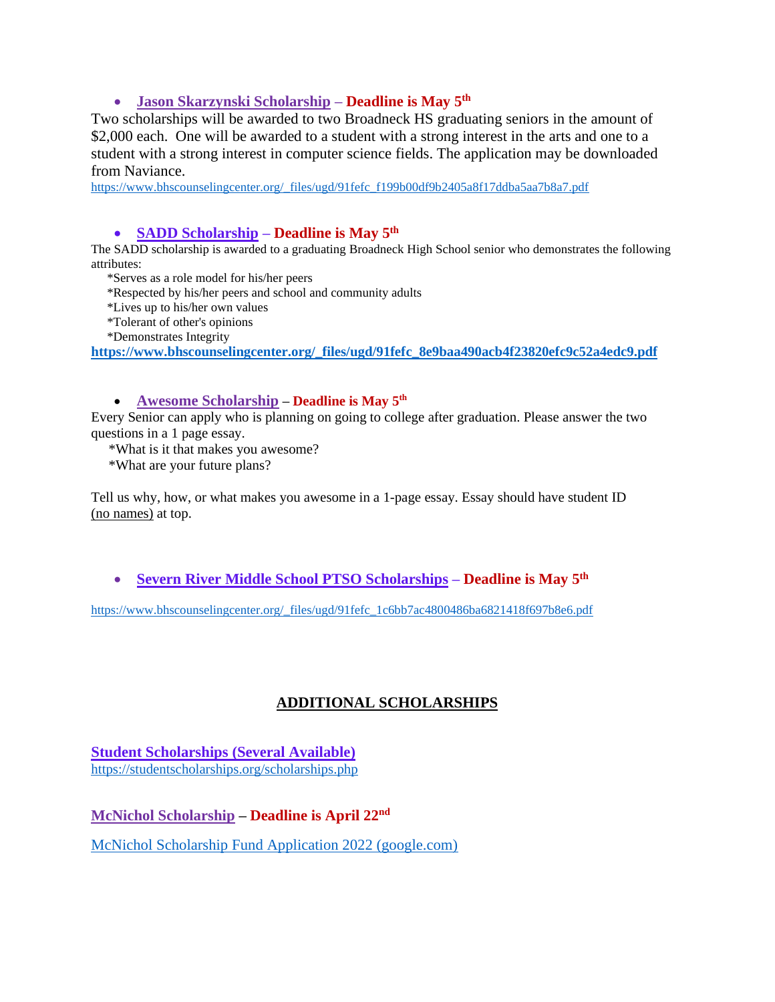### • **Jason Skarzynski Scholarship – Deadline is May 5th**

Two scholarships will be awarded to two Broadneck HS graduating seniors in the amount of \$2,000 each. One will be awarded to a student with a strong interest in the arts and one to a student with a strong interest in computer science fields. The application may be downloaded from Naviance.

[https://www.bhscounselingcenter.org/\\_files/ugd/91fefc\\_f199b00df9b2405a8f17ddba5aa7b8a7.pdf](https://www.bhscounselingcenter.org/_files/ugd/91fefc_f199b00df9b2405a8f17ddba5aa7b8a7.pdf)

#### • **SADD Scholarship – Deadline is May 5th**

The SADD scholarship is awarded to a graduating Broadneck High School senior who demonstrates the following attributes:

\*Serves as a role model for his/her peers

- \*Respected by his/her peers and school and community adults
- \*Lives up to his/her own values
- \*Tolerant of other's opinions
- \*Demonstrates Integrity

**[https://www.bhscounselingcenter.org/\\_files/ugd/91fefc\\_8e9baa490acb4f23820efc9c52a4edc9.pdf](https://www.bhscounselingcenter.org/_files/ugd/91fefc_8e9baa490acb4f23820efc9c52a4edc9.pdf)**

#### • **Awesome Scholarship – Deadline is May 5th**

Every Senior can apply who is planning on going to college after graduation. Please answer the two questions in a 1 page essay.

\*What is it that makes you awesome?

\*What are your future plans?

Tell us why, how, or what makes you awesome in a 1-page essay. Essay should have student ID (no names) at top.

• **Severn River Middle School PTSO Scholarships – Deadline is May 5 th**

[https://www.bhscounselingcenter.org/\\_files/ugd/91fefc\\_1c6bb7ac4800486ba6821418f697b8e6.pdf](https://www.bhscounselingcenter.org/_files/ugd/91fefc_1c6bb7ac4800486ba6821418f697b8e6.pdf)

## **ADDITIONAL SCHOLARSHIPS**

**Student Scholarships (Several Available)** <https://studentscholarships.org/scholarships.php>

**McNichol Scholarship – Deadline is April 22nd**

[McNichol Scholarship Fund Application 2022 \(google.com\)](https://docs.google.com/forms/d/e/1FAIpQLSdJO54Dcu1sAaMvbmD8D-tisVWliUEKAhgeTOa4MrTFnHVPyQ/viewform)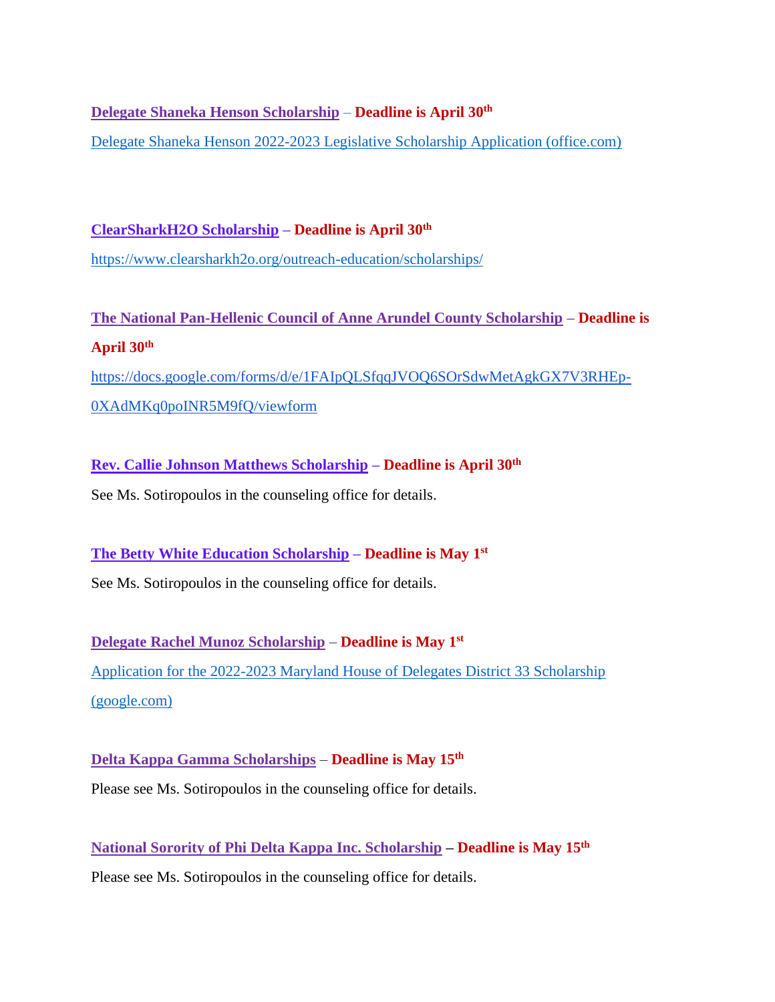**Delegate Shaneka Henson Scholarship** – **Deadline is April 30th**

[Delegate Shaneka Henson 2022-2023 Legislative Scholarship Application \(office.com\)](https://forms.office.com/Pages/ResponsePage.aspx?id=DQSIkWdsW0yxEjajBLZtrQAAAAAAAAAAAAO__S8BT8VUMkhQS0c1OThSUURPNzBXNTYyUEc4SUc5Si4u)

**ClearSharkH2O Scholarship – Deadline is April 30th** <https://www.clearsharkh2o.org/outreach-education/scholarships/>

**The National Pan-Hellenic Council of Anne Arundel County Scholarship – Deadline is April 30th**

[https://docs.google.com/forms/d/e/1FAIpQLSfqqJVOQ6SOrSdwMetAgkGX7V3RHEp-](https://nam12.safelinks.protection.outlook.com/?url=https%3A%2F%2Fdocs.google.com%2Fforms%2Fd%2Fe%2F1FAIpQLSfqqJVOQ6SOrSdwMetAgkGX7V3RHEp-0XAdMKq0poINR5M9fQ%2Fviewform&data=04%7C01%7Cssotiropoulos%40AACPS.org%7C13789882b8d44cd5ecdd08d9f7ab4ad7%7Cb7d27e93356b4ad88a7089c35df207c0%7C0%7C0%7C637813137329913867%7CUnknown%7CTWFpbGZsb3d8eyJWIjoiMC4wLjAwMDAiLCJQIjoiV2luMzIiLCJBTiI6Ik1haWwiLCJXVCI6Mn0%3D%7C3000&sdata=dIDRxhUVBiqok%2FBowu3VKvkSmOy04GmTnVnZOYbrYoA%3D&reserved=0)[0XAdMKq0poINR5M9fQ/viewform](https://nam12.safelinks.protection.outlook.com/?url=https%3A%2F%2Fdocs.google.com%2Fforms%2Fd%2Fe%2F1FAIpQLSfqqJVOQ6SOrSdwMetAgkGX7V3RHEp-0XAdMKq0poINR5M9fQ%2Fviewform&data=04%7C01%7Cssotiropoulos%40AACPS.org%7C13789882b8d44cd5ecdd08d9f7ab4ad7%7Cb7d27e93356b4ad88a7089c35df207c0%7C0%7C0%7C637813137329913867%7CUnknown%7CTWFpbGZsb3d8eyJWIjoiMC4wLjAwMDAiLCJQIjoiV2luMzIiLCJBTiI6Ik1haWwiLCJXVCI6Mn0%3D%7C3000&sdata=dIDRxhUVBiqok%2FBowu3VKvkSmOy04GmTnVnZOYbrYoA%3D&reserved=0)

**Rev. Callie Johnson Matthews Scholarship – Deadline is April 30th** See Ms. Sotiropoulos in the counseling office for details.

**The Betty White Education Scholarship – Deadline is May 1st** See Ms. Sotiropoulos in the counseling office for details.

**Delegate Rachel Munoz Scholarship** – **Deadline is May 1st** [Application for the 2022-2023 Maryland House of Delegates District 33 Scholarship](https://docs.google.com/forms/d/e/1FAIpQLSfwDoGDS-1Ni_CGNZvkbiES7o1aOTQBh0DA9Ke1h8pln_h2WQ/viewform)  [\(google.com\)](https://docs.google.com/forms/d/e/1FAIpQLSfwDoGDS-1Ni_CGNZvkbiES7o1aOTQBh0DA9Ke1h8pln_h2WQ/viewform)

**Delta Kappa Gamma Scholarships** – **Deadline is May 15th** Please see Ms. Sotiropoulos in the counseling office for details.

**National Sorority of Phi Delta Kappa Inc. Scholarship – Deadline is May 15th** Please see Ms. Sotiropoulos in the counseling office for details.